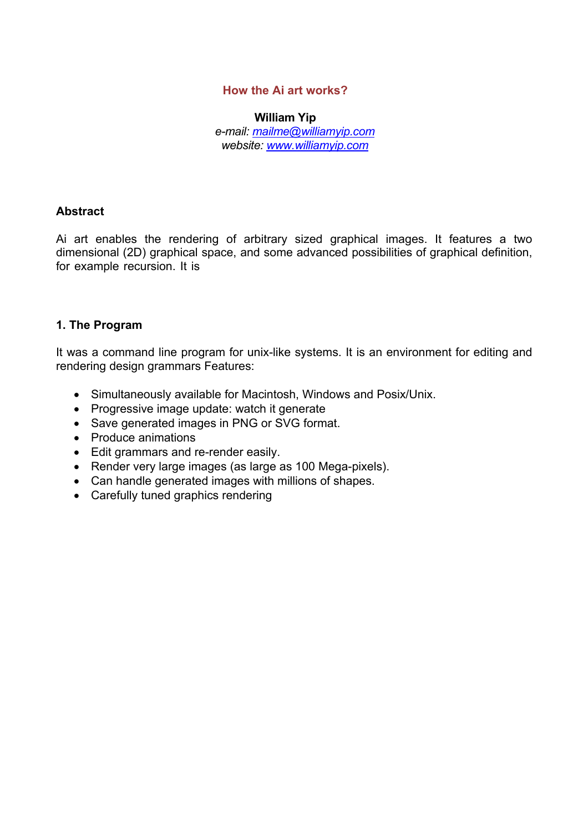## **How the Ai art works?**

**William Yip**  *e-mail: mailme@williamyip.com website: www.williamyip.com*

## **Abstract**

Ai art enables the rendering of arbitrary sized graphical images. It features a two dimensional (2D) graphical space, and some advanced possibilities of graphical definition, for example recursion. It is

## **1. The Program**

It was a command line program for unix-like systems. It is an environment for editing and rendering design grammars Features:

- Simultaneously available for Macintosh, Windows and Posix/Unix.
- Progressive image update: watch it generate
- Save generated images in PNG or SVG format.
- Produce animations
- Edit grammars and re-render easily.
- Render very large images (as large as 100 Mega-pixels).
- Can handle generated images with millions of shapes.
- Carefully tuned graphics rendering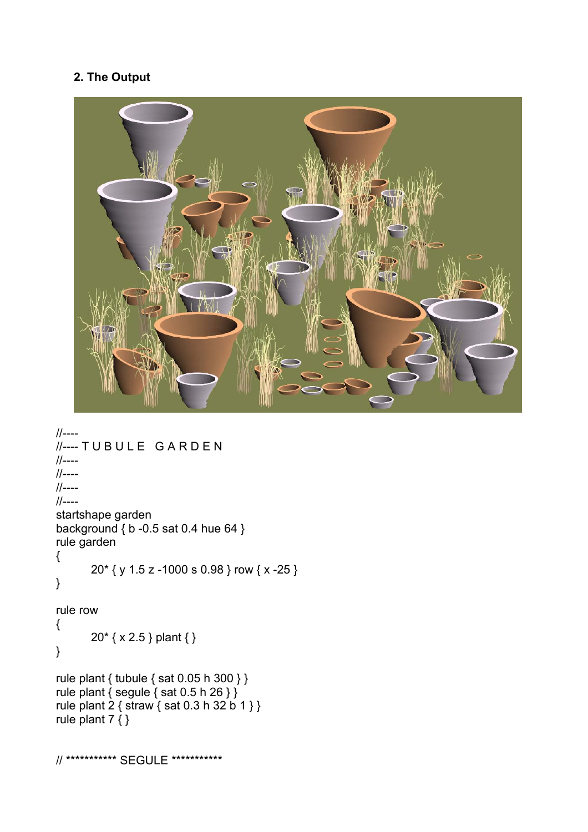## **2. The Output**



```
//---- 
//---- T U B U L E G A R D E N 
//---- 
//---- 
//---- 
//---- 
startshape garden 
background { b -0.5 sat 0.4 hue 64 } 
rule garden 
{ 
        20* { y 1.5 z -1000 s 0.98 } row { x -25 } 
} 
rule row 
{ 
        20* { x 2.5 } plant { } 
} 
rule plant { tubule { sat 0.05 h 300 } } 
rule plant \{ segule \{ sat 0.5 h 26 \} \}rule plant 2 { straw { sat 0.3 h 32 b 1 } } 
rule plant 7 { } 
// *********** SEGULE ***********
```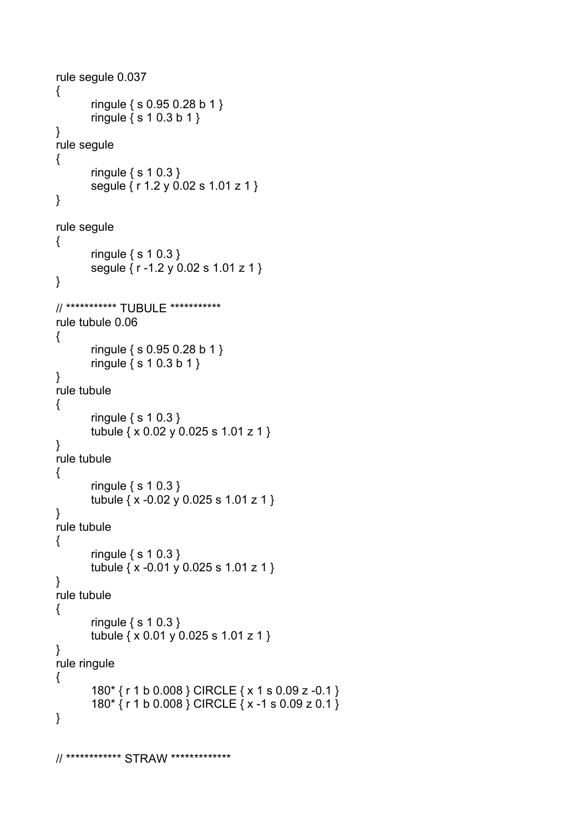```
rule segule 0.037 
{ 
         ringule { s 0.95 0.28 b 1 } 
         ringule { s 1 0.3 b 1 } 
} 
rule segule 
{ 
         ringule { s 1 0.3 } 
         segule { r 1.2 y 0.02 s 1.01 z 1 } 
} 
rule segule 
{ 
         ringule { s 1 0.3 } 
         segule { r -1.2 y 0.02 s 1.01 z 1 } 
} 
// *********** TUBULE *********** 
rule tubule 0.06 
{ 
         ringule { s 0.95 0.28 b 1 } 
         ringule { s 1 0.3 b 1 } 
} 
rule tubule 
{ 
         ringule { s 1 0.3 } 
         tubule { x 0.02 y 0.025 s 1.01 z 1 } 
} 
rule tubule 
{ 
         ringule { s 1 0.3 } 
         tubule { x -0.02 y 0.025 s 1.01 z 1 } 
} 
rule tubule 
{ 
         ringule { s 1 0.3 } 
         tubule { x -0.01 y 0.025 s 1.01 z 1 } 
} 
rule tubule 
{ 
         ringule { s 1 0.3 } 
         tubule { x 0.01 y 0.025 s 1.01 z 1 } 
} 
rule ringule 
{ 
         180* { r 1 b 0.008 } CIRCLE { x 1 s 0.09 z -0.1 } 
         180* { r 1 b 0.008 } CIRCLE { x -1 s 0.09 z 0.1 } 
}
```
// \*\*\*\*\*\*\*\*\*\*\*\* STRAW \*\*\*\*\*\*\*\*\*\*\*\*\*